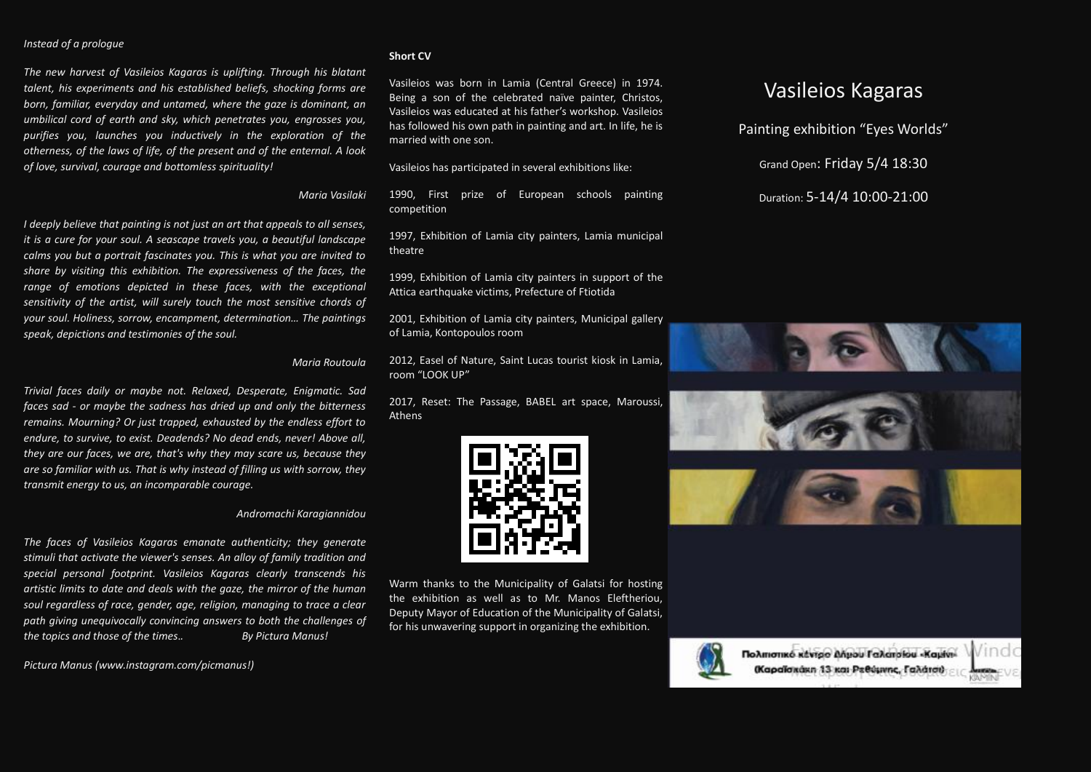### *Instead of a prologue*

*The new harvest of Vasileios Kagaras is uplifting. Through his blatant talent, his experiments and his established beliefs, shocking forms are born, familiar, everyday and untamed, where the gaze is dominant, an umbilical cord of earth and sky, which penetrates you, engrosses you, purifies you, launches you inductively in the exploration of the otherness, of the laws of life, of the present and of the enternal. A look of love, survival, courage and bottomless spirituality!*

## *Maria Vasilaki*

*I deeply believe that painting is not just an art that appeals to all senses, it is a cure for your soul. A seascape travels you, a beautiful landscape calms you but a portrait fascinates you. This is what you are invited to share by visiting this exhibition. The expressiveness of the faces, the range of emotions depicted in these faces, with the exceptional sensitivity of the artist, will surely touch the most sensitive chords of your soul. Holiness, sorrow, encampment, determination… The paintings speak, depictions and testimonies of the soul.*

## *Maria Routoula*

*Trivial faces daily or maybe not. Relaxed, Desperate, Enigmatic. Sad faces sad - or maybe the sadness has dried up and only the bitterness remains. Mourning? Or just trapped, exhausted by the endless effort to endure, to survive, to exist. Deadends? No dead ends, never! Above all, they are our faces, we are, that's why they may scare us, because they are so familiar with us. That is why instead of filling us with sorrow, they transmit energy to us, an incomparable courage.*

#### *Andromachi Karagiannidou*

*The faces of Vasileios Kagaras emanate authenticity; they generate stimuli that activate the viewer's senses. An alloy of family tradition and special personal footprint. Vasileios Kagaras clearly transcends his artistic limits to date and deals with the gaze, the mirror of the human soul regardless of race, gender, age, religion, managing to trace a clear path giving unequivocally convincing answers to both the challenges of the topics and those of the times*.*. By Pictura Manus!*

*Pictura Manus [\(www.instagram.com/picmanus!](http://www.instagram.com/picmanus))*

## **Short CV**

Vasileios was born in Lamia (Central Greece) in 1974. Being a son of the celebrated naïve painter, Christos, Vasileios was educated at his father's workshop. Vasileios has followed his own path in painting and art. In life, he is married with one son.

Vasileios has participated in several exhibitions like:

1990, First prize of European schools painting competition

1997, Exhibition of Lamia city painters, Lamia municipal theatre

1999, Exhibition of Lamia city painters in support of the Attica earthquake victims, Prefecture of Ftiotida

2001, Exhibition of Lamia city painters, Municipal gallery of Lamia, Kontopoulos room

2012, Easel of Nature, Saint Lucas tourist kiosk in Lamia, room "LOOK UP"

2017, Reset: The Passage, BABEL art space, Maroussi, Athens



Warm thanks to the Municipality of Galatsi for hosting the exhibition as well as to Mr. Manos Eleftheriou, Deputy Mayor of Education of the Municipality of Galatsi, for his unwavering support in organizing the exhibition.



# Duration: 5-14/4 10:00-21:00

Vasileios Kagaras

Painting exhibition "Eyes Worlds"

Grand Open: Friday 5/4 18:30